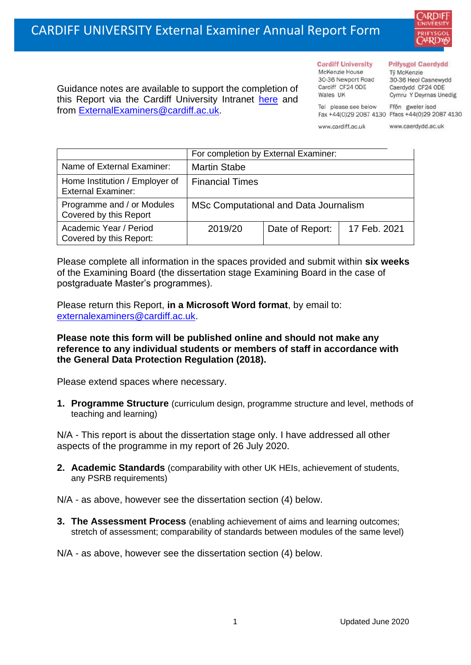

Guidance notes are available to support the completion of this Report via the Cardiff University Intranet [here](https://intranet.cardiff.ac.uk/staff/teaching-and-supporting-students/exams-and-assessment/exam-boards-and-external-examiners/for-current-external-examiners/external-examiners-reports) and from [ExternalExaminers@cardiff.ac.uk.](mailto:ExternalExaminers@cardiff.ac.uk)

**Cardiff University** McKenzie House 30-36 Newport Road Cardiff CF24 ODE

#### **Prifysgol Caerdydd**

Từ McKenzie 30-36 Heol Casnewydd Caerdydd CF24 ODE Cymru Y Deyrnas Unedig

Ffôn gweler isod Fax +44(0)29 2087 4130 Ffacs +44(0)29 2087 4130

www.cardiff.ac.uk

Tel please see below

Wales IIK

www.caerdydd.ac.uk

|                                                             | For completion by External Examiner:  |                 |              |
|-------------------------------------------------------------|---------------------------------------|-----------------|--------------|
| Name of External Examiner:                                  | <b>Martin Stabe</b>                   |                 |              |
| Home Institution / Employer of<br><b>External Examiner:</b> | <b>Financial Times</b>                |                 |              |
| Programme and / or Modules<br>Covered by this Report        | MSc Computational and Data Journalism |                 |              |
| Academic Year / Period<br>Covered by this Report:           | 2019/20                               | Date of Report: | 17 Feb. 2021 |

Please complete all information in the spaces provided and submit within **six weeks** of the Examining Board (the dissertation stage Examining Board in the case of postgraduate Master's programmes).

Please return this Report, **in a Microsoft Word format**, by email to: [externalexaminers@cardiff.ac.uk.](mailto:externalexaminers@cardiff.ac.uk)

### **Please note this form will be published online and should not make any reference to any individual students or members of staff in accordance with the General Data Protection Regulation (2018).**

Please extend spaces where necessary.

**1. Programme Structure** (curriculum design, programme structure and level, methods of teaching and learning)

N/A - This report is about the dissertation stage only. I have addressed all other aspects of the programme in my report of 26 July 2020.

- **2. Academic Standards** (comparability with other UK HEIs, achievement of students, any PSRB requirements)
- N/A as above, however see the dissertation section (4) below.
- **3. The Assessment Process** (enabling achievement of aims and learning outcomes; stretch of assessment; comparability of standards between modules of the same level)

N/A - as above, however see the dissertation section (4) below.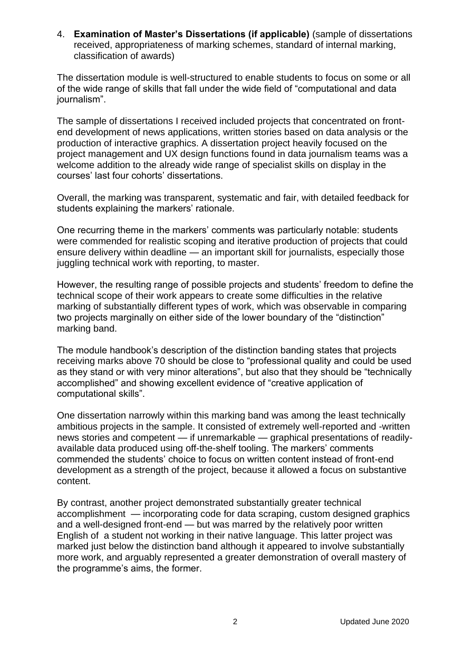4. **Examination of Master's Dissertations (if applicable)** (sample of dissertations received, appropriateness of marking schemes, standard of internal marking, classification of awards)

The dissertation module is well-structured to enable students to focus on some or all of the wide range of skills that fall under the wide field of "computational and data journalism".

The sample of dissertations I received included projects that concentrated on frontend development of news applications, written stories based on data analysis or the production of interactive graphics. A dissertation project heavily focused on the project management and UX design functions found in data journalism teams was a welcome addition to the already wide range of specialist skills on display in the courses' last four cohorts' dissertations.

Overall, the marking was transparent, systematic and fair, with detailed feedback for students explaining the markers' rationale.

One recurring theme in the markers' comments was particularly notable: students were commended for realistic scoping and iterative production of projects that could ensure delivery within deadline — an important skill for journalists, especially those juggling technical work with reporting, to master.

However, the resulting range of possible projects and students' freedom to define the technical scope of their work appears to create some difficulties in the relative marking of substantially different types of work, which was observable in comparing two projects marginally on either side of the lower boundary of the "distinction" marking band.

The module handbook's description of the distinction banding states that projects receiving marks above 70 should be close to "professional quality and could be used as they stand or with very minor alterations", but also that they should be "technically accomplished" and showing excellent evidence of "creative application of computational skills".

One dissertation narrowly within this marking band was among the least technically ambitious projects in the sample. It consisted of extremely well-reported and -written news stories and competent — if unremarkable — graphical presentations of readilyavailable data produced using off-the-shelf tooling. The markers' comments commended the students' choice to focus on written content instead of front-end development as a strength of the project, because it allowed a focus on substantive content.

By contrast, another project demonstrated substantially greater technical accomplishment — incorporating code for data scraping, custom designed graphics and a well-designed front-end — but was marred by the relatively poor written English of a student not working in their native language. This latter project was marked just below the distinction band although it appeared to involve substantially more work, and arguably represented a greater demonstration of overall mastery of the programme's aims, the former.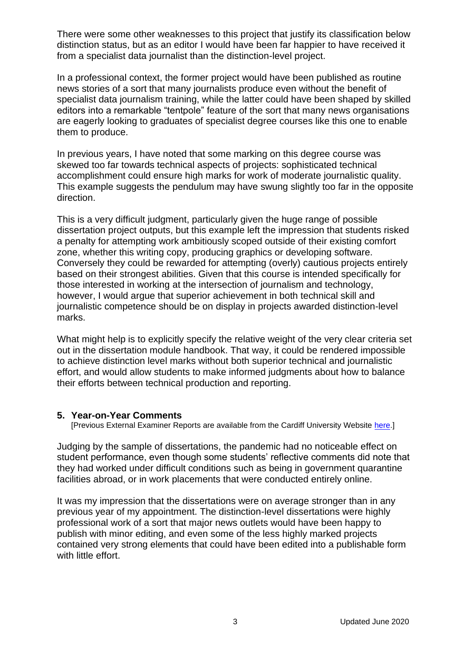There were some other weaknesses to this project that justify its classification below distinction status, but as an editor I would have been far happier to have received it from a specialist data journalist than the distinction-level project.

In a professional context, the former project would have been published as routine news stories of a sort that many journalists produce even without the benefit of specialist data journalism training, while the latter could have been shaped by skilled editors into a remarkable "tentpole" feature of the sort that many news organisations are eagerly looking to graduates of specialist degree courses like this one to enable them to produce.

In previous years, I have noted that some marking on this degree course was skewed too far towards technical aspects of projects: sophisticated technical accomplishment could ensure high marks for work of moderate journalistic quality. This example suggests the pendulum may have swung slightly too far in the opposite direction.

This is a very difficult judgment, particularly given the huge range of possible dissertation project outputs, but this example left the impression that students risked a penalty for attempting work ambitiously scoped outside of their existing comfort zone, whether this writing copy, producing graphics or developing software. Conversely they could be rewarded for attempting (overly) cautious projects entirely based on their strongest abilities. Given that this course is intended specifically for those interested in working at the intersection of journalism and technology, however, I would argue that superior achievement in both technical skill and journalistic competence should be on display in projects awarded distinction-level marks.

What might help is to explicitly specify the relative weight of the very clear criteria set out in the dissertation module handbook. That way, it could be rendered impossible to achieve distinction level marks without both superior technical and journalistic effort, and would allow students to make informed judgments about how to balance their efforts between technical production and reporting.

### **5. Year-on-Year Comments**

[Previous External Examiner Reports are available from the Cardiff University Website [here.](https://www.cardiff.ac.uk/public-information/quality-and-standards/external-examiner-reports)]

Judging by the sample of dissertations, the pandemic had no noticeable effect on student performance, even though some students' reflective comments did note that they had worked under difficult conditions such as being in government quarantine facilities abroad, or in work placements that were conducted entirely online.

It was my impression that the dissertations were on average stronger than in any previous year of my appointment. The distinction-level dissertations were highly professional work of a sort that major news outlets would have been happy to publish with minor editing, and even some of the less highly marked projects contained very strong elements that could have been edited into a publishable form with little effort.